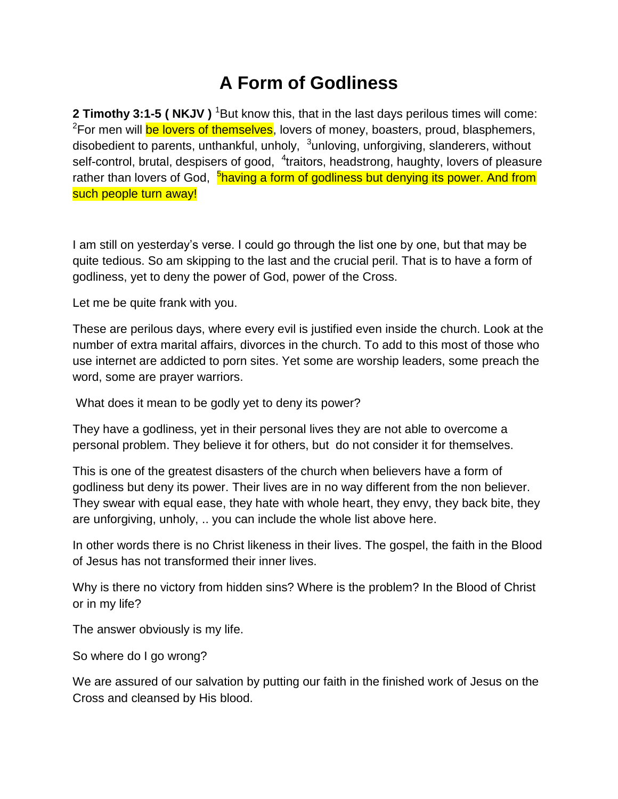## **A Form of Godliness**

**2 Timothy 3:1-5 ( NKJV )** <sup>1</sup>But know this, that in the last days perilous times will come: <sup>2</sup>For men will <mark>be lovers of themselves</mark>, lovers of money, boasters, proud, blasphemers, disobedient to parents, unthankful, unholy, <sup>3</sup>unloving, unforgiving, slanderers, without self-control, brutal, despisers of good, <sup>4</sup>traitors, headstrong, haughty, lovers of pleasure rather than lovers of God, <sup>5</sup>having a form of godliness but denying its power. And from such people turn away!

I am still on yesterday's verse. I could go through the list one by one, but that may be quite tedious. So am skipping to the last and the crucial peril. That is to have a form of godliness, yet to deny the power of God, power of the Cross.

Let me be quite frank with you.

These are perilous days, where every evil is justified even inside the church. Look at the number of extra marital affairs, divorces in the church. To add to this most of those who use internet are addicted to porn sites. Yet some are worship leaders, some preach the word, some are prayer warriors.

What does it mean to be godly yet to deny its power?

They have a godliness, yet in their personal lives they are not able to overcome a personal problem. They believe it for others, but do not consider it for themselves.

This is one of the greatest disasters of the church when believers have a form of godliness but deny its power. Their lives are in no way different from the non believer. They swear with equal ease, they hate with whole heart, they envy, they back bite, they are unforgiving, unholy, .. you can include the whole list above here.

In other words there is no Christ likeness in their lives. The gospel, the faith in the Blood of Jesus has not transformed their inner lives.

Why is there no victory from hidden sins? Where is the problem? In the Blood of Christ or in my life?

The answer obviously is my life.

So where do I go wrong?

We are assured of our salvation by putting our faith in the finished work of Jesus on the Cross and cleansed by His blood.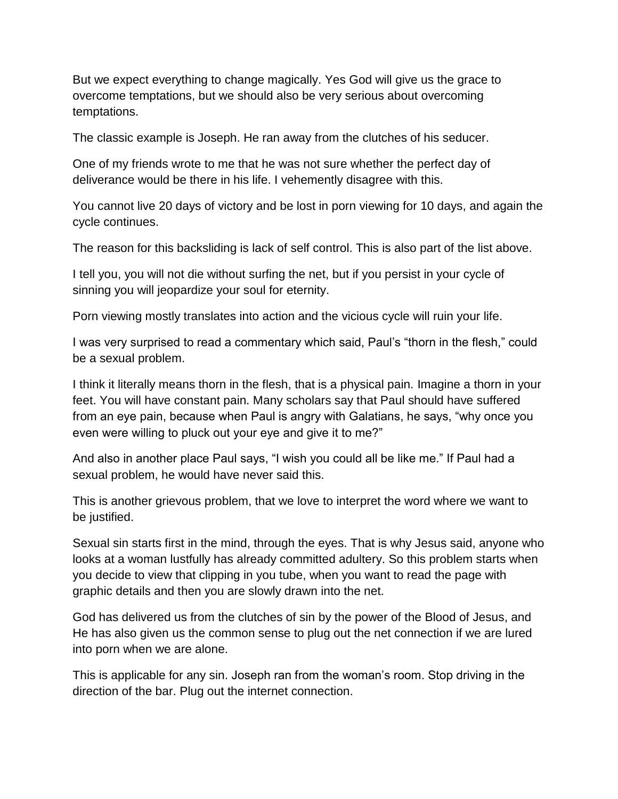But we expect everything to change magically. Yes God will give us the grace to overcome temptations, but we should also be very serious about overcoming temptations.

The classic example is Joseph. He ran away from the clutches of his seducer.

One of my friends wrote to me that he was not sure whether the perfect day of deliverance would be there in his life. I vehemently disagree with this.

You cannot live 20 days of victory and be lost in porn viewing for 10 days, and again the cycle continues.

The reason for this backsliding is lack of self control. This is also part of the list above.

I tell you, you will not die without surfing the net, but if you persist in your cycle of sinning you will jeopardize your soul for eternity.

Porn viewing mostly translates into action and the vicious cycle will ruin your life.

I was very surprised to read a commentary which said, Paul's "thorn in the flesh," could be a sexual problem.

I think it literally means thorn in the flesh, that is a physical pain. Imagine a thorn in your feet. You will have constant pain. Many scholars say that Paul should have suffered from an eye pain, because when Paul is angry with Galatians, he says, "why once you even were willing to pluck out your eye and give it to me?"

And also in another place Paul says, "I wish you could all be like me." If Paul had a sexual problem, he would have never said this.

This is another grievous problem, that we love to interpret the word where we want to be justified.

Sexual sin starts first in the mind, through the eyes. That is why Jesus said, anyone who looks at a woman lustfully has already committed adultery. So this problem starts when you decide to view that clipping in you tube, when you want to read the page with graphic details and then you are slowly drawn into the net.

God has delivered us from the clutches of sin by the power of the Blood of Jesus, and He has also given us the common sense to plug out the net connection if we are lured into porn when we are alone.

This is applicable for any sin. Joseph ran from the woman's room. Stop driving in the direction of the bar. Plug out the internet connection.